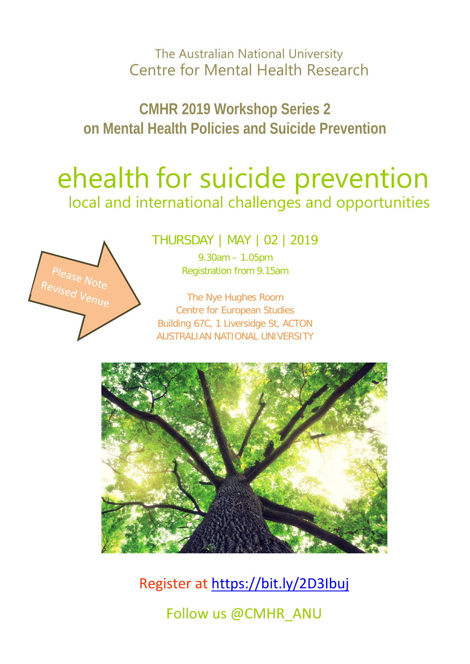The Australian National University Centre for Mental Health Research

**CMHR 2019 Workshop Series 2 on Mental Health Policies and Suicide Prevention**

# ehealth for suicide prevention local and international challenges and opportunities



THURSDAY | MAY ǀ 02 ǀ 2019

9.30am – 1.05pm Registration from 9.15am

The Nye Hughes Room Centre for European Studies Building 67C, 1 Liversidge St, ACTON AUSTRALIAN NATIONAL UNIVERSITY



Register at<https://bit.ly/2D3Ibuj> Follow us @CMHR\_ANU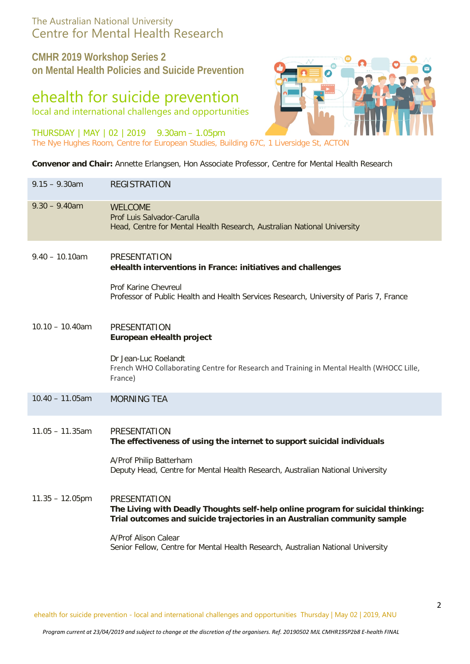### The Australian National University Centre for Mental Health Research

**CMHR 2019 Workshop Series 2 on Mental Health Policies and Suicide Prevention**

## ehealth for suicide prevention

local and international challenges and opportunities

THURSDAY | MAY ǀ 02 ǀ 2019 9.30am – 1.05pm



**Convenor and Chair:** Annette Erlangsen, Hon Associate Professor, Centre for Mental Health Research

| $9.15 - 9.30$ am   | <b>REGISTRATION</b>                                                                                                                                                                                                                                                                             |
|--------------------|-------------------------------------------------------------------------------------------------------------------------------------------------------------------------------------------------------------------------------------------------------------------------------------------------|
| $9.30 - 9.40$ am   | <b>WELCOME</b><br>Prof Luis Salvador-Carulla<br>Head, Centre for Mental Health Research, Australian National University                                                                                                                                                                         |
| $9.40 - 10.10$ am  | <b>PRESENTATION</b><br>eHealth interventions in France: initiatives and challenges<br>Prof Karine Chevreul<br>Professor of Public Health and Health Services Research, University of Paris 7, France                                                                                            |
| $10.10 - 10.40$ am | <b>PRESENTATION</b><br>European eHealth project<br>Dr Jean-Luc Roelandt<br>French WHO Collaborating Centre for Research and Training in Mental Health (WHOCC Lille,<br>France)                                                                                                                  |
| $10.40 - 11.05$ am | <b>MORNING TEA</b>                                                                                                                                                                                                                                                                              |
| $11.05 - 11.35$ am | <b>PRESENTATION</b><br>The effectiveness of using the internet to support suicidal individuals<br>A/Prof Philip Batterham<br>Deputy Head, Centre for Mental Health Research, Australian National University                                                                                     |
| $11.35 - 12.05$ pm | <b>PRESENTATION</b><br>The Living with Deadly Thoughts self-help online program for suicidal thinking:<br>Trial outcomes and suicide trajectories in an Australian community sample<br>A/Prof Alison Calear<br>Senior Fellow, Centre for Mental Health Research, Australian National University |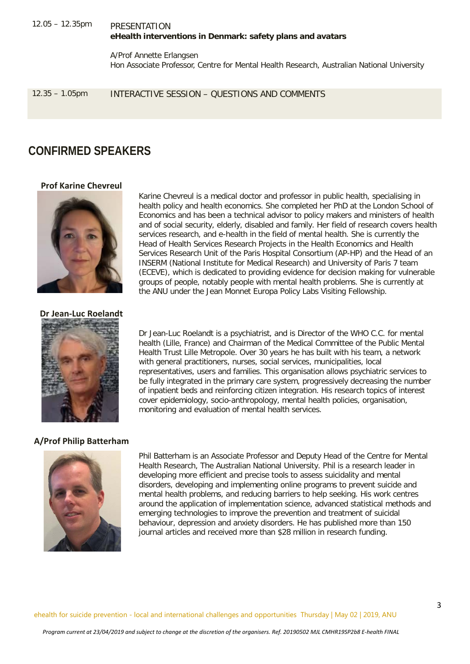#### 12.05 – 12.35pm PRESENTATION **eHealth interventions in Denmark: safety plans and avatars**

A/Prof Annette Erlangsen Hon Associate Professor, Centre for Mental Health Research, Australian National University

12.35 – 1.05pm INTERACTIVE SESSION – QUESTIONS AND COMMENTS

## **CONFIRMED SPEAKERS**

#### **Prof Karine Chevreul**



Karine Chevreul is a medical doctor and professor in public health, specialising in health policy and health economics. She completed her PhD at the London School of Economics and has been a technical advisor to policy makers and ministers of health and of social security, elderly, disabled and family. Her field of research covers health services research, and e-health in the field of mental health. She is currently the Head of Health Services Research Projects in the Health Economics and Health Services Research Unit of the Paris Hospital Consortium (AP-HP) and the Head of an INSERM (National Institute for Medical Research) and University of Paris 7 team (ECEVE), which is dedicated to providing evidence for decision making for vulnerable groups of people, notably people with mental health problems. She is currently at the ANU under the Jean Monnet Europa Policy Labs Visiting Fellowship.

#### **Dr Jean-Luc Roelandt**



Dr Jean-Luc Roelandt is a psychiatrist, and is Director of the WHO C.C. for mental health (Lille, France) and Chairman of the Medical Committee of the Public Mental Health Trust Lille Metropole. Over 30 years he has built with his team, a network with general practitioners, nurses, social services, municipalities, local representatives, users and families. This organisation allows psychiatric services to be fully integrated in the primary care system, progressively decreasing the number of inpatient beds and reinforcing citizen integration. His research topics of interest cover epidemiology, socio-anthropology, mental health policies, organisation, monitoring and evaluation of mental health services.

#### **A/Prof Philip Batterham**



Phil Batterham is an Associate Professor and Deputy Head of the Centre for Mental Health Research, The Australian National University. Phil is a research leader in developing more efficient and precise tools to assess suicidality and mental disorders, developing and implementing online programs to prevent suicide and mental health problems, and reducing barriers to help seeking. His work centres around the application of implementation science, advanced statistical methods and emerging technologies to improve the prevention and treatment of suicidal behaviour, depression and anxiety disorders. He has published more than 150 journal articles and received more than \$28 million in research funding.